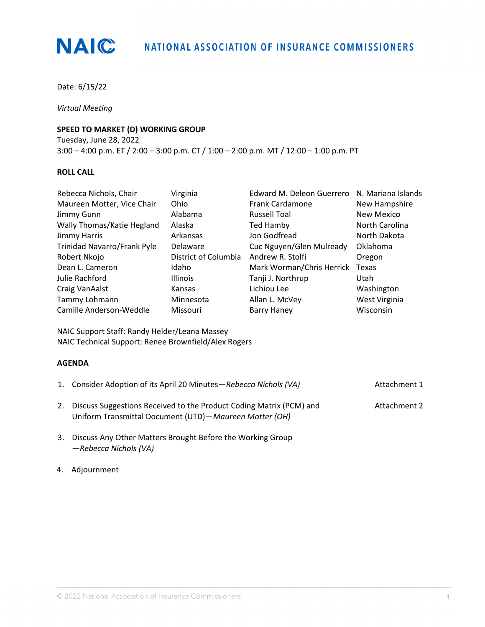

Date: 6/15/22

*Virtual Meeting*

## **SPEED TO MARKET (D) WORKING GROUP**

Tuesday, June 28, 2022 3:00 – 4:00 p.m. ET / 2:00 – 3:00 p.m. CT / 1:00 – 2:00 p.m. MT / 12:00 – 1:00 p.m. PT

## **ROLL CALL**

| Rebecca Nichols, Chair      | Virginia             | Edward M. Deleon Guerrero | N. Mariana Islands |
|-----------------------------|----------------------|---------------------------|--------------------|
| Maureen Motter, Vice Chair  | Ohio                 | <b>Frank Cardamone</b>    | New Hampshire      |
| Jimmy Gunn                  | Alabama              | <b>Russell Toal</b>       | New Mexico         |
| Wally Thomas/Katie Hegland  | Alaska               | Ted Hamby                 | North Carolina     |
| Jimmy Harris                | Arkansas             | Jon Godfread              | North Dakota       |
| Trinidad Navarro/Frank Pyle | Delaware             | Cuc Nguyen/Glen Mulready  | Oklahoma           |
| Robert Nkojo                | District of Columbia | Andrew R. Stolfi          | Oregon             |
| Dean L. Cameron             | Idaho                | Mark Worman/Chris Herrick | Texas              |
| Julie Rachford              | <b>Illinois</b>      | Tanji J. Northrup         | Utah               |
| Craig VanAalst              | Kansas               | Lichiou Lee               | Washington         |
| Tammy Lohmann               | Minnesota            | Allan L. McVey            | West Virginia      |
| Camille Anderson-Weddle     | Missouri             | <b>Barry Haney</b>        | Wisconsin          |

NAIC Support Staff: Randy Helder/Leana Massey NAIC Technical Support: Renee Brownfield/Alex Rogers

### **AGENDA**

| 1. Consider Adoption of its April 20 Minutes-Rebecca Nichols (VA)                                                                | Attachment 1 |
|----------------------------------------------------------------------------------------------------------------------------------|--------------|
| 2. Discuss Suggestions Received to the Product Coding Matrix (PCM) and<br>Uniform Transmittal Document (UTD)-Maureen Motter (OH) | Attachment 2 |

- 3. Discuss Any Other Matters Brought Before the Working Group —*Rebecca Nichols (VA)*
- 4. Adjournment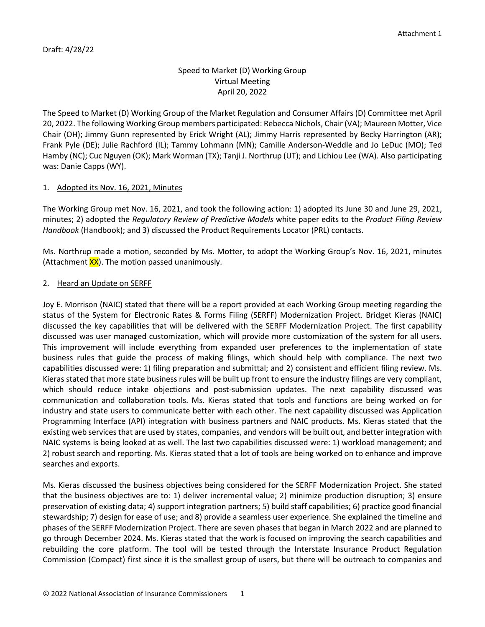# Speed to Market (D) Working Group Virtual Meeting April 20, 2022

The Speed to Market (D) Working Group of the Market Regulation and Consumer Affairs (D) Committee met April 20, 2022. The following Working Group members participated: Rebecca Nichols, Chair (VA); Maureen Motter, Vice Chair (OH); Jimmy Gunn represented by Erick Wright (AL); Jimmy Harris represented by Becky Harrington (AR); Frank Pyle (DE); Julie Rachford (IL); Tammy Lohmann (MN); Camille Anderson-Weddle and Jo LeDuc (MO); Ted Hamby (NC); Cuc Nguyen (OK); Mark Worman (TX); Tanji J. Northrup (UT); and Lichiou Lee (WA). Also participating was: Danie Capps (WY).

## 1. Adopted its Nov. 16, 2021, Minutes

The Working Group met Nov. 16, 2021, and took the following action: 1) adopted its June 30 and June 29, 2021, minutes; 2) adopted the *Regulatory Review of Predictive Models* white paper edits to the *Product Filing Review Handbook* (Handbook); and 3) discussed the Product Requirements Locator (PRL) contacts.

Ms. Northrup made a motion, seconded by Ms. Motter, to adopt the Working Group's Nov. 16, 2021, minutes (Attachment  $\frac{XX}{X}$ ). The motion passed unanimously.

### 2. Heard an Update on SERFF

Joy E. Morrison (NAIC) stated that there will be a report provided at each Working Group meeting regarding the status of the System for Electronic Rates & Forms Filing (SERFF) Modernization Project. Bridget Kieras (NAIC) discussed the key capabilities that will be delivered with the SERFF Modernization Project. The first capability discussed was user managed customization, which will provide more customization of the system for all users. This improvement will include everything from expanded user preferences to the implementation of state business rules that guide the process of making filings, which should help with compliance. The next two capabilities discussed were: 1) filing preparation and submittal; and 2) consistent and efficient filing review. Ms. Kieras stated that more state business rules will be built up front to ensure the industry filings are very compliant, which should reduce intake objections and post-submission updates. The next capability discussed was communication and collaboration tools. Ms. Kieras stated that tools and functions are being worked on for industry and state users to communicate better with each other. The next capability discussed was Application Programming Interface (API) integration with business partners and NAIC products. Ms. Kieras stated that the existing web services that are used by states, companies, and vendors will be built out, and better integration with NAIC systems is being looked at as well. The last two capabilities discussed were: 1) workload management; and 2) robust search and reporting. Ms. Kieras stated that a lot of tools are being worked on to enhance and improve searches and exports.

Ms. Kieras discussed the business objectives being considered for the SERFF Modernization Project. She stated that the business objectives are to: 1) deliver incremental value; 2) minimize production disruption; 3) ensure preservation of existing data; 4) support integration partners; 5) build staff capabilities; 6) practice good financial stewardship; 7) design for ease of use; and 8) provide a seamless user experience. She explained the timeline and phases of the SERFF Modernization Project. There are seven phases that began in March 2022 and are planned to go through December 2024. Ms. Kieras stated that the work is focused on improving the search capabilities and rebuilding the core platform. The tool will be tested through the Interstate Insurance Product Regulation Commission (Compact) first since it is the smallest group of users, but there will be outreach to companies and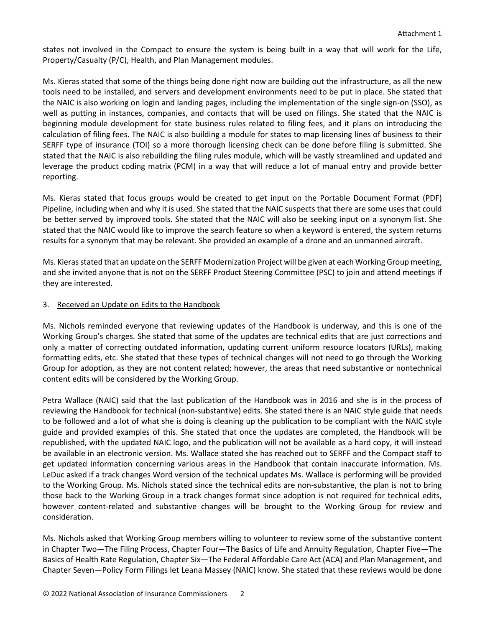states not involved in the Compact to ensure the system is being built in a way that will work for the Life, Property/Casualty (P/C), Health, and Plan Management modules.

Ms. Kieras stated that some of the things being done right now are building out the infrastructure, as all the new tools need to be installed, and servers and development environments need to be put in place. She stated that the NAIC is also working on login and landing pages, including the implementation of the single sign-on (SSO), as well as putting in instances, companies, and contacts that will be used on filings. She stated that the NAIC is beginning module development for state business rules related to filing fees, and it plans on introducing the calculation of filing fees. The NAIC is also building a module for states to map licensing lines of business to their SERFF type of insurance (TOI) so a more thorough licensing check can be done before filing is submitted. She stated that the NAIC is also rebuilding the filing rules module, which will be vastly streamlined and updated and leverage the product coding matrix (PCM) in a way that will reduce a lot of manual entry and provide better reporting.

Ms. Kieras stated that focus groups would be created to get input on the Portable Document Format (PDF) Pipeline, including when and why it is used. She stated that the NAIC suspects that there are some uses that could be better served by improved tools. She stated that the NAIC will also be seeking input on a synonym list. She stated that the NAIC would like to improve the search feature so when a keyword is entered, the system returns results for a synonym that may be relevant. She provided an example of a drone and an unmanned aircraft.

Ms. Kieras stated that an update on the SERFF Modernization Project will be given at each Working Group meeting, and she invited anyone that is not on the SERFF Product Steering Committee (PSC) to join and attend meetings if they are interested.

### 3. Received an Update on Edits to the Handbook

Ms. Nichols reminded everyone that reviewing updates of the Handbook is underway, and this is one of the Working Group's charges. She stated that some of the updates are technical edits that are just corrections and only a matter of correcting outdated information, updating current uniform resource locators (URLs), making formatting edits, etc. She stated that these types of technical changes will not need to go through the Working Group for adoption, as they are not content related; however, the areas that need substantive or nontechnical content edits will be considered by the Working Group.

Petra Wallace (NAIC) said that the last publication of the Handbook was in 2016 and she is in the process of reviewing the Handbook for technical (non-substantive) edits. She stated there is an NAIC style guide that needs to be followed and a lot of what she is doing is cleaning up the publication to be compliant with the NAIC style guide and provided examples of this. She stated that once the updates are completed, the Handbook will be republished, with the updated NAIC logo, and the publication will not be available as a hard copy, it will instead be available in an electronic version. Ms. Wallace stated she has reached out to SERFF and the Compact staff to get updated information concerning various areas in the Handbook that contain inaccurate information. Ms. LeDuc asked if a track changes Word version of the technical updates Ms. Wallace is performing will be provided to the Working Group. Ms. Nichols stated since the technical edits are non-substantive, the plan is not to bring those back to the Working Group in a track changes format since adoption is not required for technical edits, however content-related and substantive changes will be brought to the Working Group for review and consideration.

Ms. Nichols asked that Working Group members willing to volunteer to review some of the substantive content in Chapter Two—The Filing Process, Chapter Four—The Basics of Life and Annuity Regulation, Chapter Five—The Basics of Health Rate Regulation, Chapter Six—The Federal Affordable Care Act (ACA) and Plan Management, and Chapter Seven—Policy Form Filings let Leana Massey (NAIC) know. She stated that these reviews would be done